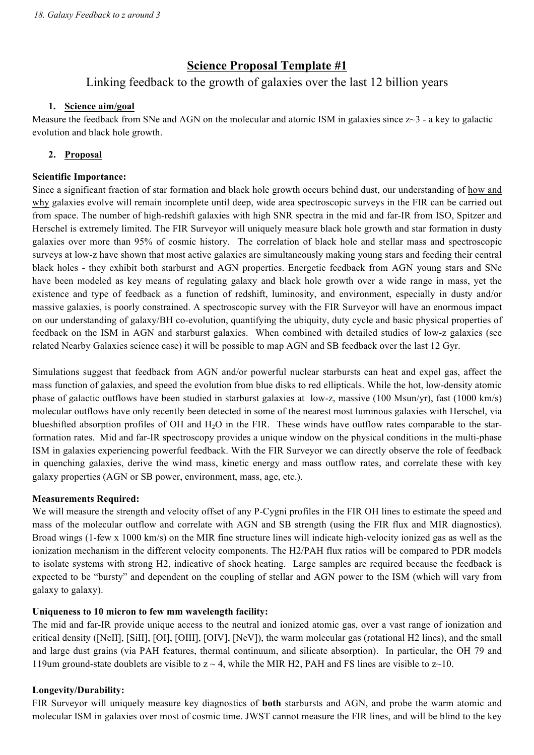# **Science Proposal Template #1**

# Linking feedback to the growth of galaxies over the last 12 billion years

### **1. Science aim/goal**

Measure the feedback from SNe and AGN on the molecular and atomic ISM in galaxies since  $z\sim3$  - a key to galactic evolution and black hole growth.

## **2. Proposal**

### **Scientific Importance:**

Since a significant fraction of star formation and black hole growth occurs behind dust, our understanding of how and why galaxies evolve will remain incomplete until deep, wide area spectroscopic surveys in the FIR can be carried out from space. The number of high-redshift galaxies with high SNR spectra in the mid and far-IR from ISO, Spitzer and Herschel is extremely limited. The FIR Surveyor will uniquely measure black hole growth and star formation in dusty galaxies over more than 95% of cosmic history. The correlation of black hole and stellar mass and spectroscopic surveys at low-z have shown that most active galaxies are simultaneously making young stars and feeding their central black holes - they exhibit both starburst and AGN properties. Energetic feedback from AGN young stars and SNe have been modeled as key means of regulating galaxy and black hole growth over a wide range in mass, yet the existence and type of feedback as a function of redshift, luminosity, and environment, especially in dusty and/or massive galaxies, is poorly constrained. A spectroscopic survey with the FIR Surveyor will have an enormous impact on our understanding of galaxy/BH co-evolution, quantifying the ubiquity, duty cycle and basic physical properties of feedback on the ISM in AGN and starburst galaxies. When combined with detailed studies of low-z galaxies (see related Nearby Galaxies science case) it will be possible to map AGN and SB feedback over the last 12 Gyr.

Simulations suggest that feedback from AGN and/or powerful nuclear starbursts can heat and expel gas, affect the mass function of galaxies, and speed the evolution from blue disks to red ellipticals. While the hot, low-density atomic phase of galactic outflows have been studied in starburst galaxies at low-z, massive (100 Msun/yr), fast (1000 km/s) molecular outflows have only recently been detected in some of the nearest most luminous galaxies with Herschel, via blueshifted absorption profiles of OH and  $H_2O$  in the FIR. These winds have outflow rates comparable to the starformation rates. Mid and far-IR spectroscopy provides a unique window on the physical conditions in the multi-phase ISM in galaxies experiencing powerful feedback. With the FIR Surveyor we can directly observe the role of feedback in quenching galaxies, derive the wind mass, kinetic energy and mass outflow rates, and correlate these with key galaxy properties (AGN or SB power, environment, mass, age, etc.).

### **Measurements Required:**

We will measure the strength and velocity offset of any P-Cygni profiles in the FIR OH lines to estimate the speed and mass of the molecular outflow and correlate with AGN and SB strength (using the FIR flux and MIR diagnostics). Broad wings (1-few x 1000 km/s) on the MIR fine structure lines will indicate high-velocity ionized gas as well as the ionization mechanism in the different velocity components. The H2/PAH flux ratios will be compared to PDR models to isolate systems with strong H2, indicative of shock heating. Large samples are required because the feedback is expected to be "bursty" and dependent on the coupling of stellar and AGN power to the ISM (which will vary from galaxy to galaxy).

## **Uniqueness to 10 micron to few mm wavelength facility:**

The mid and far-IR provide unique access to the neutral and ionized atomic gas, over a vast range of ionization and critical density ([NeII], [SiII], [OI], [OIII], [OIV], [NeV]), the warm molecular gas (rotational H2 lines), and the small and large dust grains (via PAH features, thermal continuum, and silicate absorption). In particular, the OH 79 and 119um ground-state doublets are visible to  $z \sim 4$ , while the MIR H2, PAH and FS lines are visible to  $z \sim 10$ .

## **Longevity/Durability:**

FIR Surveyor will uniquely measure key diagnostics of **both** starbursts and AGN, and probe the warm atomic and molecular ISM in galaxies over most of cosmic time. JWST cannot measure the FIR lines, and will be blind to the key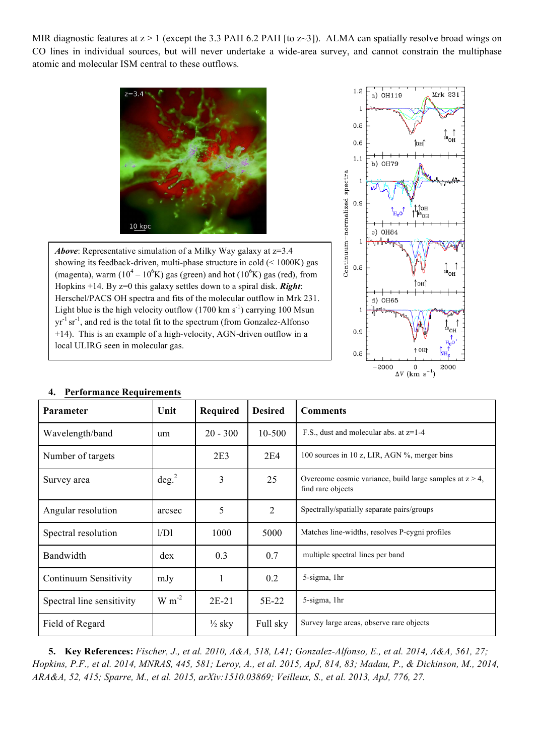MIR diagnostic features at  $z > 1$  (except the 3.3 PAH 6.2 PAH [to z~3]). ALMA can spatially resolve broad wings on CO lines in individual sources, but will never undertake a wide-area survey, and cannot constrain the multiphase atomic and molecular ISM central to these outflows*.*



*Above*: Representative simulation of a Milky Way galaxy at z=3.4 showing its feedback-driven, multi-phase structure in cold (< 1000K) gas (magenta), warm  $(10^4 - 10^6 K)$  gas (green) and hot  $(10^6 K)$  gas (red), from Hopkins +14. By z=0 this galaxy settles down to a spiral disk. *Right*: Herschel/PACS OH spectra and fits of the molecular outflow in Mrk 231. Light blue is the high velocity outflow  $(1700 \text{ km s}^{-1})$  carrying 100 Msun  $yr^{-1}$  sr<sup>-1</sup>, and red is the total fit to the spectrum (from Gonzalez-Alfonso) +14). This is an example of a high-velocity, AGN-driven outflow in a local ULIRG seen in molecular gas.



| Parameter                 | Unit       | Required          | <b>Desired</b> | <b>Comments</b>                                                                 |
|---------------------------|------------|-------------------|----------------|---------------------------------------------------------------------------------|
| Wavelength/band           | um         | $20 - 300$        | 10-500         | F.S., dust and molecular abs. at z=1-4                                          |
| Number of targets         |            | 2E <sub>3</sub>   | 2E4            | 100 sources in 10 z, LIR, AGN %, merger bins                                    |
| Survey area               | $\deg^2$   | 3                 | 25             | Overcome cosmic variance, build large samples at $z > 4$ ,<br>find rare objects |
| Angular resolution        | arcsec     | 5                 | $\overline{2}$ | Spectrally/spatially separate pairs/groups                                      |
| Spectral resolution       | 1/D1       | 1000              | 5000           | Matches line-widths, resolves P-cygni profiles                                  |
| Bandwidth                 | dex        | 0.3               | 0.7            | multiple spectral lines per band                                                |
| Continuum Sensitivity     | mJy        | 1                 | 0.2            | 5-sigma, 1hr                                                                    |
| Spectral line sensitivity | $W m^{-2}$ | $2E-21$           | 5E-22          | 5-sigma, 1hr                                                                    |
| Field of Regard           |            | $\frac{1}{2}$ sky | Full sky       | Survey large areas, observe rare objects                                        |

#### **4. Performance Requirements**

**5. Key References:** *Fischer, J., et al. 2010, A&A, 518, L41; Gonzalez-Alfonso, E., et al. 2014, A&A, 561, 27; Hopkins, P.F., et al. 2014, MNRAS, 445, 581; Leroy, A., et al. 2015, ApJ, 814, 83; Madau, P., & Dickinson, M., 2014, ARA&A, 52, 415; Sparre, M., et al. 2015, arXiv:1510.03869; Veilleux, S., et al. 2013, ApJ, 776, 27.*